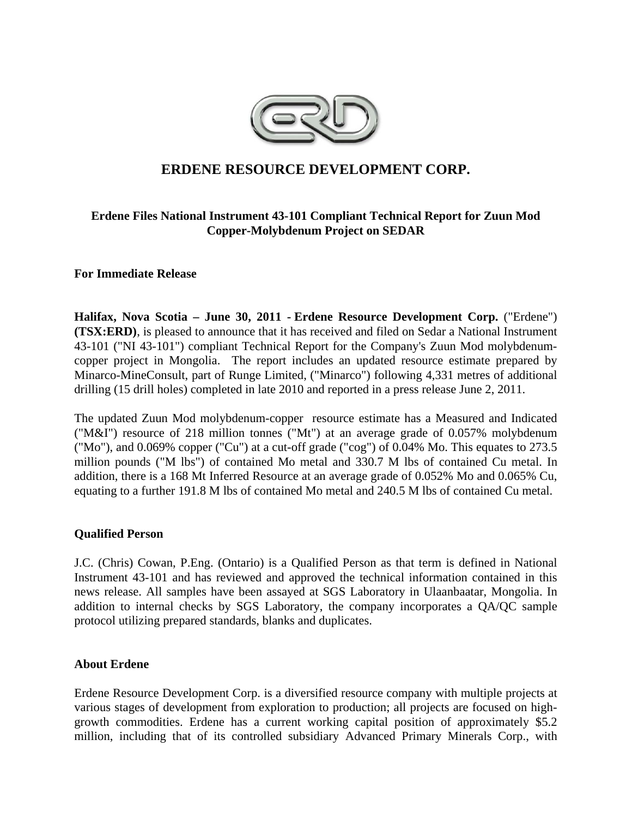

# **ERDENE RESOURCE DEVELOPMENT CORP.**

# **Erdene Files National Instrument 43-101 Compliant Technical Report for Zuun Mod Copper-Molybdenum Project on SEDAR**

## **For Immediate Release**

**Halifax, Nova Scotia – June 30, 2011 - Erdene Resource Development Corp.** ("Erdene") **(TSX:ERD)**, is pleased to announce that it has received and filed on Sedar a National Instrument 43-101 ("NI 43-101") compliant Technical Report for the Company's Zuun Mod molybdenumcopper project in Mongolia. The report includes an updated resource estimate prepared by Minarco-MineConsult, part of Runge Limited, ("Minarco") following 4,331 metres of additional drilling (15 drill holes) completed in late 2010 and reported in a press release June 2, 2011.

The updated Zuun Mod molybdenum-copper resource estimate has a Measured and Indicated ("M&I") resource of 218 million tonnes ("Mt") at an average grade of 0.057% molybdenum ("Mo"), and 0.069% copper ("Cu") at a cut-off grade ("cog") of 0.04% Mo. This equates to 273.5 million pounds ("M lbs") of contained Mo metal and 330.7 M lbs of contained Cu metal. In addition, there is a 168 Mt Inferred Resource at an average grade of 0.052% Mo and 0.065% Cu, equating to a further 191.8 M lbs of contained Mo metal and 240.5 M lbs of contained Cu metal.

## **Qualified Person**

J.C. (Chris) Cowan, P.Eng. (Ontario) is a Qualified Person as that term is defined in National Instrument 43-101 and has reviewed and approved the technical information contained in this news release. All samples have been assayed at SGS Laboratory in Ulaanbaatar, Mongolia. In addition to internal checks by SGS Laboratory, the company incorporates a QA/QC sample protocol utilizing prepared standards, blanks and duplicates.

## **About Erdene**

Erdene Resource Development Corp. is a diversified resource company with multiple projects at various stages of development from exploration to production; all projects are focused on highgrowth commodities. Erdene has a current working capital position of approximately \$5.2 million, including that of its controlled subsidiary Advanced Primary Minerals Corp., with